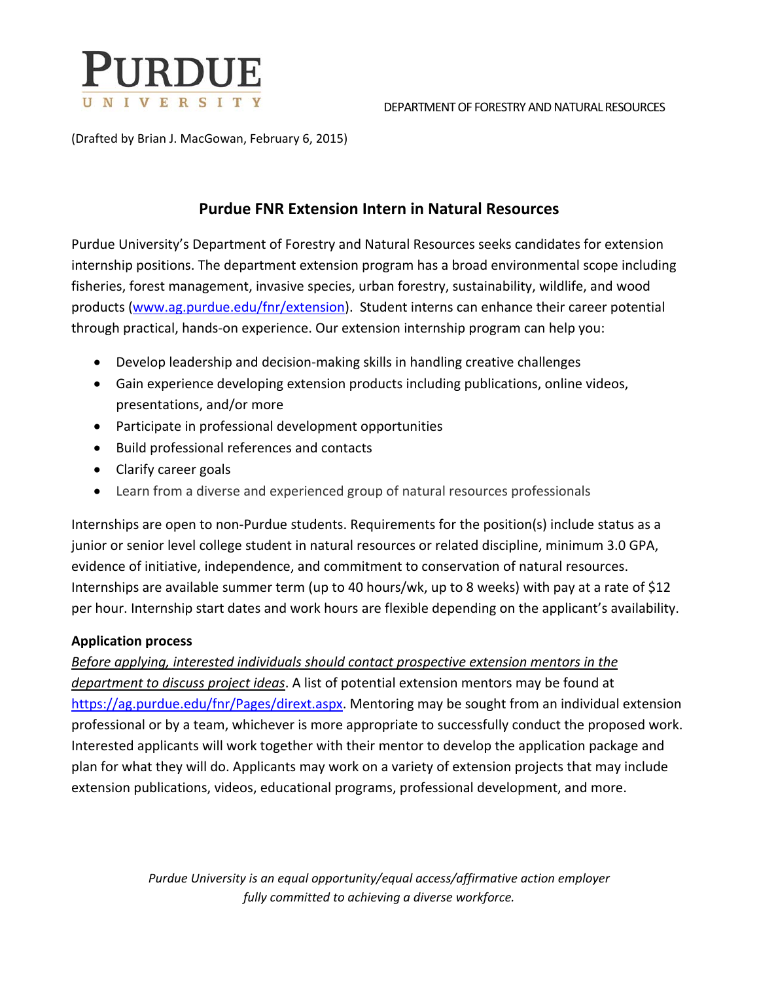

#### DEPARTMENT OF FORESTRY AND NATURAL RESOURCES

(Drafted by Brian J. MacGowan, February 6, 2015)

### **Purdue FNR Extension Intern in Natural Resources**

Purdue University's Department of Forestry and Natural Resources seeks candidates for extension internship positions. The department extension program has a broad environmental scope including fisheries, forest management, invasive species, urban forestry, sustainability, wildlife, and wood products (www.ag.purdue.edu/fnr/extension). Student interns can enhance their career potential through practical, hands‐on experience. Our extension internship program can help you:

- Develop leadership and decision-making skills in handling creative challenges
- Gain experience developing extension products including publications, online videos, presentations, and/or more
- Participate in professional development opportunities
- Build professional references and contacts
- Clarify career goals
- Learn from a diverse and experienced group of natural resources professionals

Internships are open to non‐Purdue students. Requirements for the position(s) include status as a junior or senior level college student in natural resources or related discipline, minimum 3.0 GPA, evidence of initiative, independence, and commitment to conservation of natural resources. Internships are available summer term (up to 40 hours/wk, up to 8 weeks) with pay at a rate of \$12 per hour. Internship start dates and work hours are flexible depending on the applicant's availability.

### **Application process**

*Before applying, interested individuals should contact prospective extension mentors in the department to discuss project ideas*. A list of potential extension mentors may be found at https://ag.purdue.edu/fnr/Pages/dirext.aspx. Mentoring may be sought from an individual extension professional or by a team, whichever is more appropriate to successfully conduct the proposed work. Interested applicants will work together with their mentor to develop the application package and plan for what they will do. Applicants may work on a variety of extension projects that may include extension publications, videos, educational programs, professional development, and more.

> *Purdue University is an equal opportunity/equal access/affirmative action employer fully committed to achieving a diverse workforce.*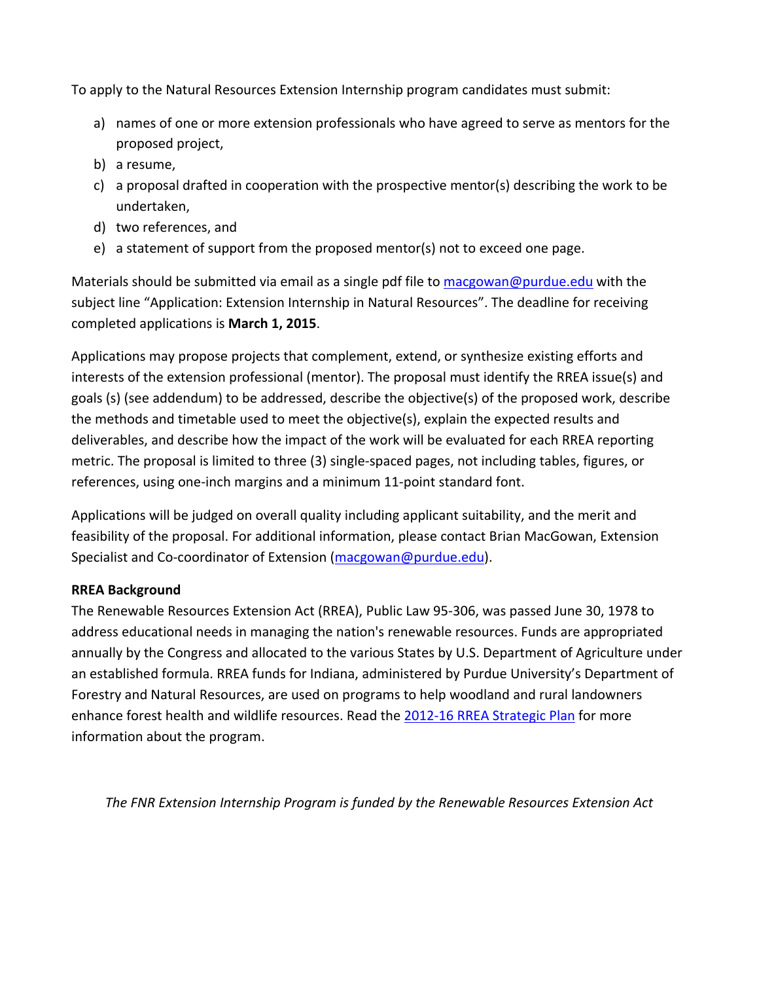To apply to the Natural Resources Extension Internship program candidates must submit:

- a) names of one or more extension professionals who have agreed to serve as mentors for the proposed project,
- b) a resume,
- c) a proposal drafted in cooperation with the prospective mentor(s) describing the work to be undertaken,
- d) two references, and
- e) a statement of support from the proposed mentor(s) not to exceed one page.

Materials should be submitted via email as a single pdf file to macgowan@purdue.edu with the subject line "Application: Extension Internship in Natural Resources". The deadline for receiving completed applications is **March 1, 2015**.

Applications may propose projects that complement, extend, or synthesize existing efforts and interests of the extension professional (mentor). The proposal must identify the RREA issue(s) and goals (s) (see addendum) to be addressed, describe the objective(s) of the proposed work, describe the methods and timetable used to meet the objective(s), explain the expected results and deliverables, and describe how the impact of the work will be evaluated for each RREA reporting metric. The proposal is limited to three (3) single‐spaced pages, not including tables, figures, or references, using one‐inch margins and a minimum 11‐point standard font.

Applications will be judged on overall quality including applicant suitability, and the merit and feasibility of the proposal. For additional information, please contact Brian MacGowan, Extension Specialist and Co-coordinator of Extension (macgowan@purdue.edu).

### **RREA Background**

The Renewable Resources Extension Act (RREA), Public Law 95‐306, was passed June 30, 1978 to address educational needs in managing the nation's renewable resources. Funds are appropriated annually by the Congress and allocated to the various States by U.S. Department of Agriculture under an established formula. RREA funds for Indiana, administered by Purdue University's Department of Forestry and Natural Resources, are used on programs to help woodland and rural landowners enhance forest health and wildlife resources. Read the 2012-16 RREA Strategic Plan for more information about the program.

*The FNR Extension Internship Program is funded by the Renewable Resources Extension Act*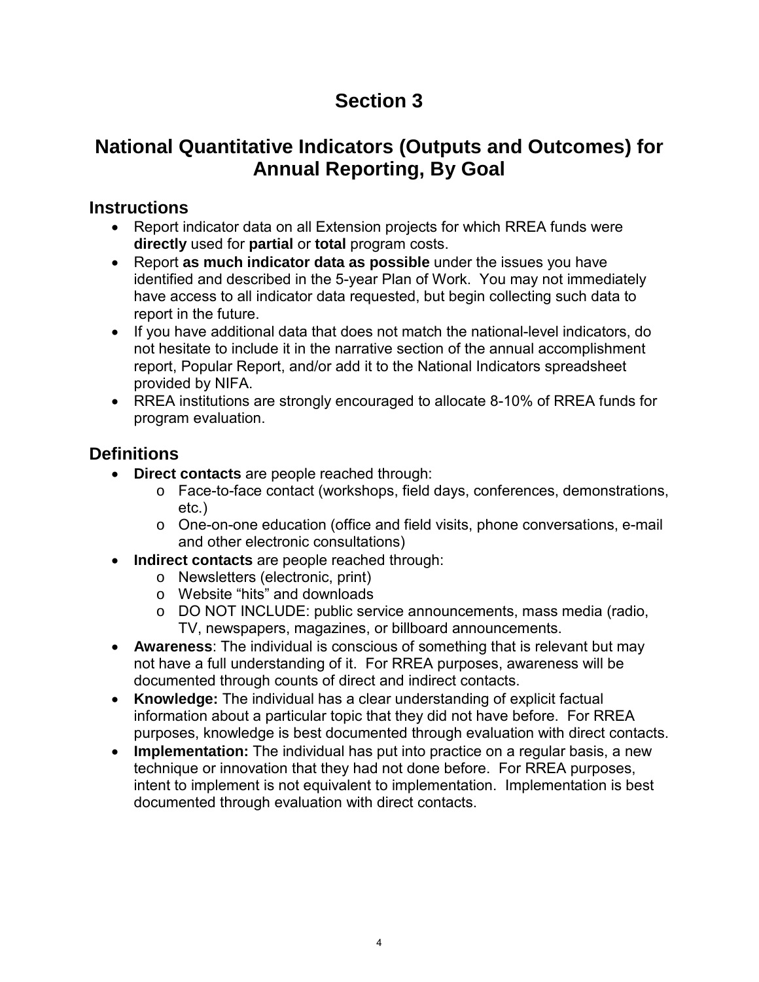# **Section 3**

# **National Quantitative Indicators (Outputs and Outcomes) for Annual Reporting, By Goal**

### **Instructions**

- Report indicator data on all Extension projects for which RREA funds were **directly** used for **partial** or **total** program costs.
- Report **as much indicator data as possible** under the issues you have identified and described in the 5-year Plan of Work. You may not immediately have access to all indicator data requested, but begin collecting such data to report in the future.
- If you have additional data that does not match the national-level indicators, do not hesitate to include it in the narrative section of the annual accomplishment report, Popular Report, and/or add it to the National Indicators spreadsheet provided by NIFA.
- RREA institutions are strongly encouraged to allocate 8-10% of RREA funds for program evaluation.

## **Definitions**

- **Direct contacts** are people reached through:
	- o Face-to-face contact (workshops, field days, conferences, demonstrations, etc.)
	- o One-on-one education (office and field visits, phone conversations, e-mail and other electronic consultations)
- **Indirect contacts** are people reached through:
	- o Newsletters (electronic, print)
	- o Website "hits" and downloads
	- o DO NOT INCLUDE: public service announcements, mass media (radio, TV, newspapers, magazines, or billboard announcements.
- **Awareness**: The individual is conscious of something that is relevant but may not have a full understanding of it. For RREA purposes, awareness will be documented through counts of direct and indirect contacts.
- **Knowledge:** The individual has a clear understanding of explicit factual information about a particular topic that they did not have before. For RREA purposes, knowledge is best documented through evaluation with direct contacts.
- **Implementation:** The individual has put into practice on a regular basis, a new technique or innovation that they had not done before. For RREA purposes, intent to implement is not equivalent to implementation. Implementation is best documented through evaluation with direct contacts.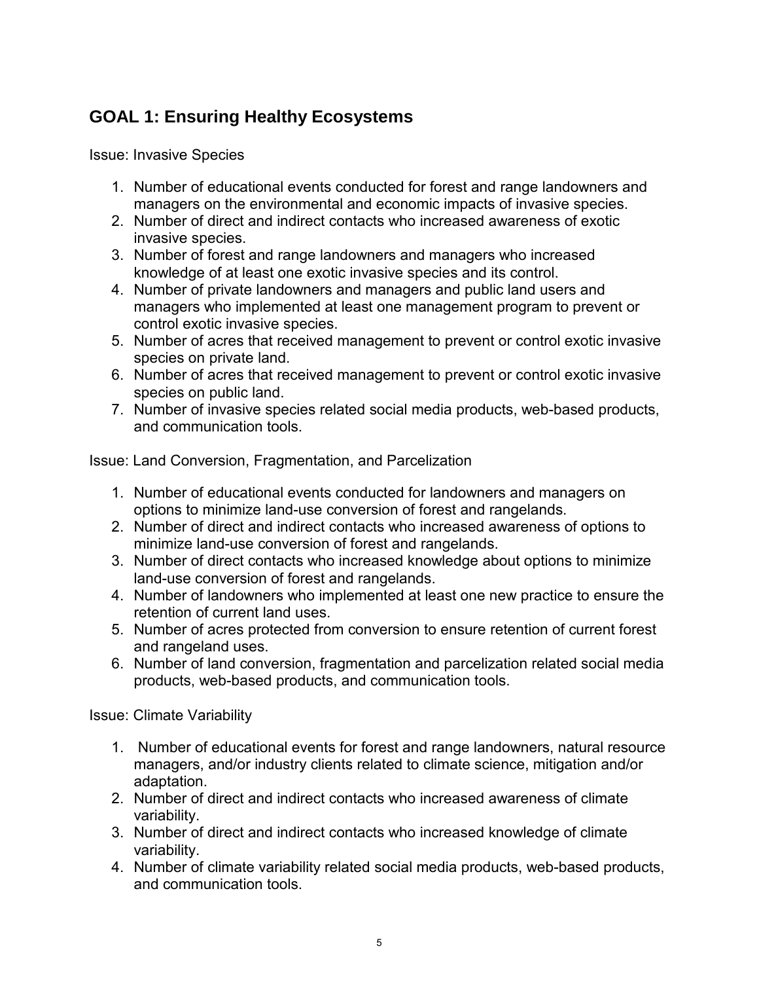## **GOAL 1: Ensuring Healthy Ecosystems**

Issue: Invasive Species

- 1. Number of educational events conducted for forest and range landowners and managers on the environmental and economic impacts of invasive species.
- 2. Number of direct and indirect contacts who increased awareness of exotic invasive species.
- 3. Number of forest and range landowners and managers who increased knowledge of at least one exotic invasive species and its control.
- 4. Number of private landowners and managers and public land users and managers who implemented at least one management program to prevent or control exotic invasive species.
- 5. Number of acres that received management to prevent or control exotic invasive species on private land.
- 6. Number of acres that received management to prevent or control exotic invasive species on public land.
- 7. Number of invasive species related social media products, web-based products, and communication tools.

Issue: Land Conversion, Fragmentation, and Parcelization

- 1. Number of educational events conducted for landowners and managers on options to minimize land-use conversion of forest and rangelands.
- 2. Number of direct and indirect contacts who increased awareness of options to minimize land-use conversion of forest and rangelands.
- 3. Number of direct contacts who increased knowledge about options to minimize land-use conversion of forest and rangelands.
- 4. Number of landowners who implemented at least one new practice to ensure the retention of current land uses.
- 5. Number of acres protected from conversion to ensure retention of current forest and rangeland uses.
- 6. Number of land conversion, fragmentation and parcelization related social media products, web-based products, and communication tools.

Issue: Climate Variability

- 1. Number of educational events for forest and range landowners, natural resource managers, and/or industry clients related to climate science, mitigation and/or adaptation.
- 2. Number of direct and indirect contacts who increased awareness of climate variability.
- 3. Number of direct and indirect contacts who increased knowledge of climate variability.
- 4. Number of climate variability related social media products, web-based products, and communication tools.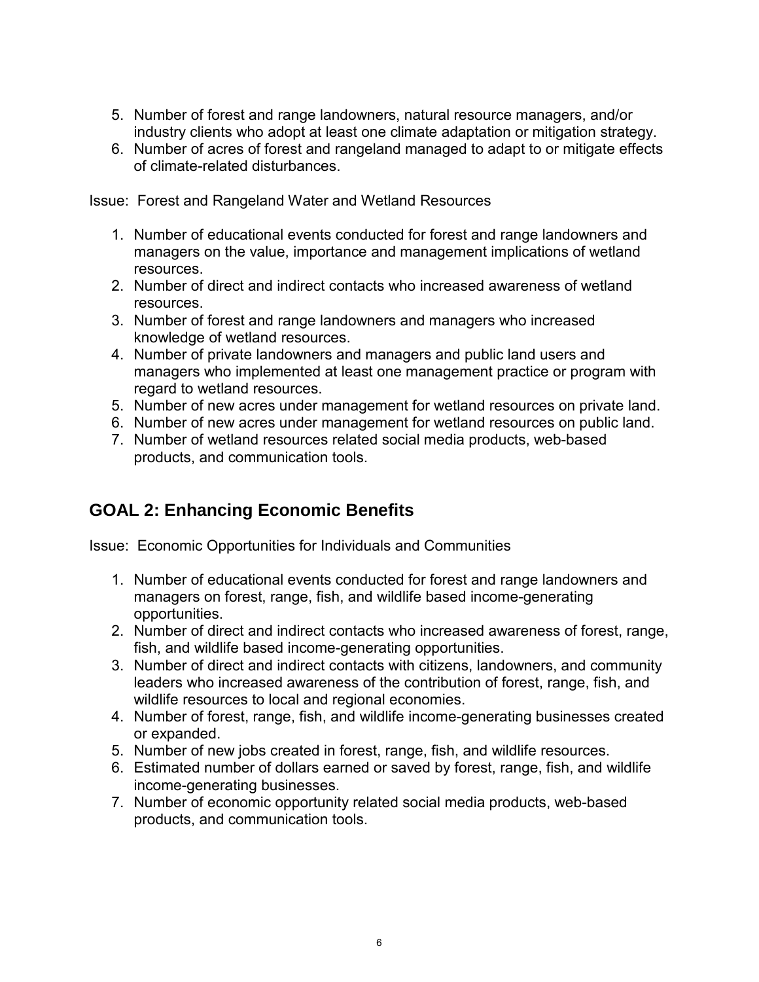- 5. Number of forest and range landowners, natural resource managers, and/or industry clients who adopt at least one climate adaptation or mitigation strategy.
- 6. Number of acres of forest and rangeland managed to adapt to or mitigate effects of climate-related disturbances.

Issue: Forest and Rangeland Water and Wetland Resources

- 1. Number of educational events conducted for forest and range landowners and managers on the value, importance and management implications of wetland resources.
- 2. Number of direct and indirect contacts who increased awareness of wetland resources.
- 3. Number of forest and range landowners and managers who increased knowledge of wetland resources.
- 4. Number of private landowners and managers and public land users and managers who implemented at least one management practice or program with regard to wetland resources.
- 5. Number of new acres under management for wetland resources on private land.
- 6. Number of new acres under management for wetland resources on public land.
- 7. Number of wetland resources related social media products, web-based products, and communication tools.

## **GOAL 2: Enhancing Economic Benefits**

Issue: Economic Opportunities for Individuals and Communities

- 1. Number of educational events conducted for forest and range landowners and managers on forest, range, fish, and wildlife based income-generating opportunities.
- 2. Number of direct and indirect contacts who increased awareness of forest, range, fish, and wildlife based income-generating opportunities.
- 3. Number of direct and indirect contacts with citizens, landowners, and community leaders who increased awareness of the contribution of forest, range, fish, and wildlife resources to local and regional economies.
- 4. Number of forest, range, fish, and wildlife income-generating businesses created or expanded.
- 5. Number of new jobs created in forest, range, fish, and wildlife resources.
- 6. Estimated number of dollars earned or saved by forest, range, fish, and wildlife income-generating businesses.
- 7. Number of economic opportunity related social media products, web-based products, and communication tools.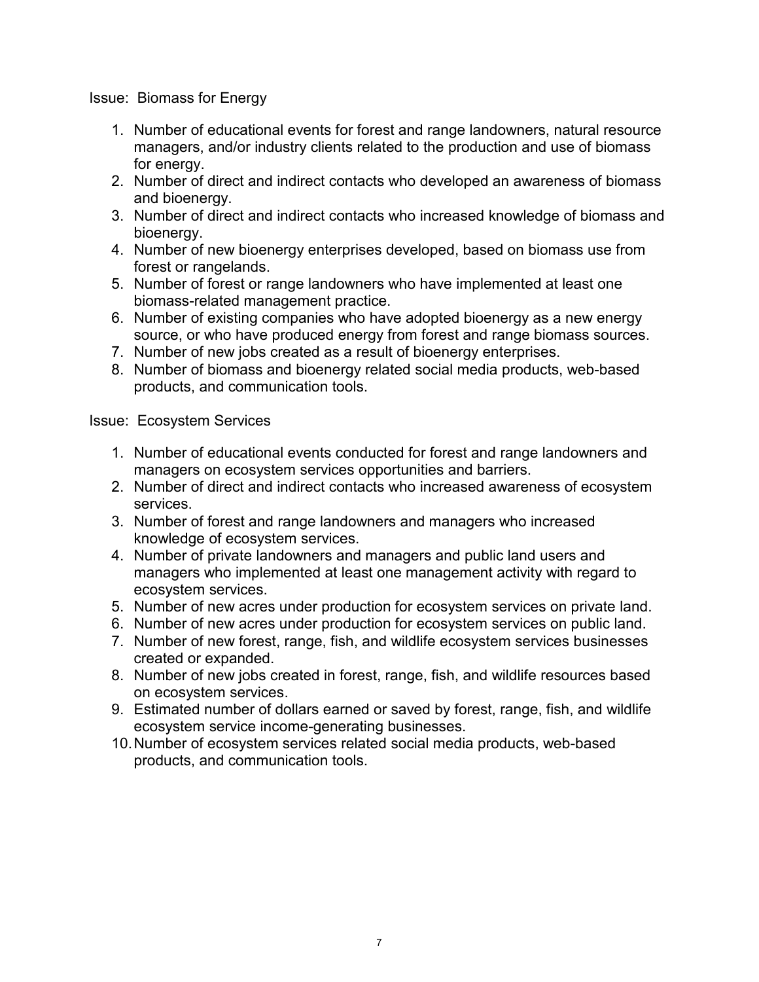#### Issue: Biomass for Energy

- 1. Number of educational events for forest and range landowners, natural resource managers, and/or industry clients related to the production and use of biomass for energy.
- 2. Number of direct and indirect contacts who developed an awareness of biomass and bioenergy.
- 3. Number of direct and indirect contacts who increased knowledge of biomass and bioenergy.
- 4. Number of new bioenergy enterprises developed, based on biomass use from forest or rangelands.
- 5. Number of forest or range landowners who have implemented at least one biomass-related management practice.
- 6. Number of existing companies who have adopted bioenergy as a new energy source, or who have produced energy from forest and range biomass sources.
- 7. Number of new jobs created as a result of bioenergy enterprises.
- 8. Number of biomass and bioenergy related social media products, web-based products, and communication tools.

#### Issue: Ecosystem Services

- 1. Number of educational events conducted for forest and range landowners and managers on ecosystem services opportunities and barriers.
- 2. Number of direct and indirect contacts who increased awareness of ecosystem services.
- 3. Number of forest and range landowners and managers who increased knowledge of ecosystem services.
- 4. Number of private landowners and managers and public land users and managers who implemented at least one management activity with regard to ecosystem services.
- 5. Number of new acres under production for ecosystem services on private land.
- 6. Number of new acres under production for ecosystem services on public land.
- 7. Number of new forest, range, fish, and wildlife ecosystem services businesses created or expanded.
- 8. Number of new jobs created in forest, range, fish, and wildlife resources based on ecosystem services.
- 9. Estimated number of dollars earned or saved by forest, range, fish, and wildlife ecosystem service income-generating businesses.
- 10.Number of ecosystem services related social media products, web-based products, and communication tools.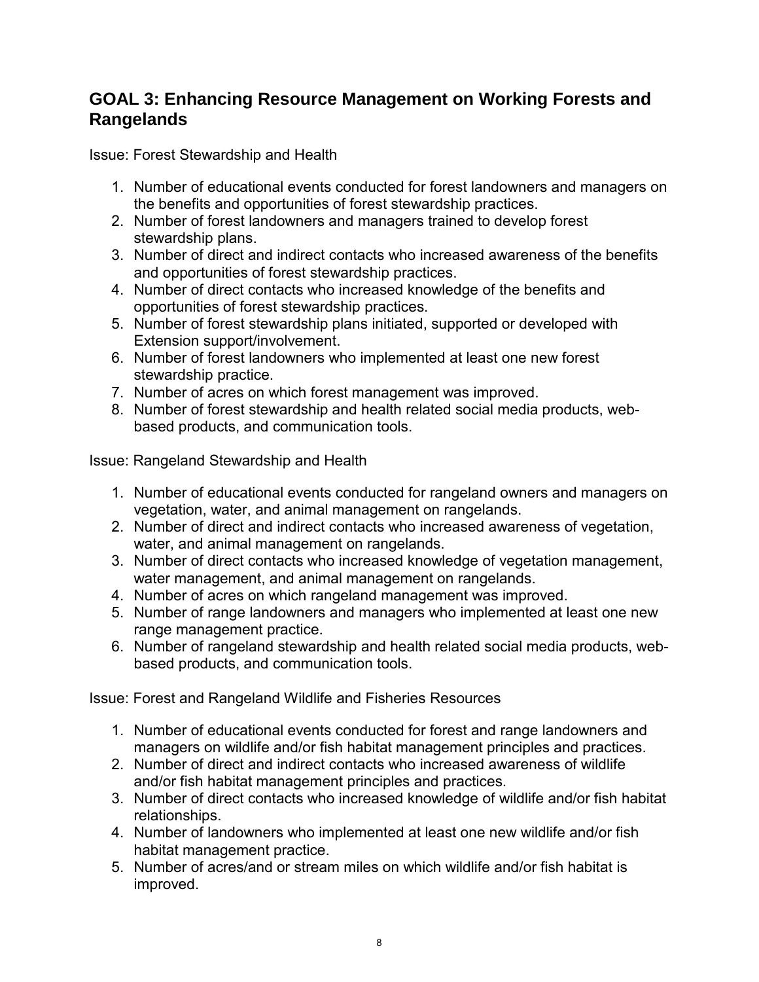### **GOAL 3: Enhancing Resource Management on Working Forests and Rangelands**

Issue: Forest Stewardship and Health

- 1. Number of educational events conducted for forest landowners and managers on the benefits and opportunities of forest stewardship practices.
- 2. Number of forest landowners and managers trained to develop forest stewardship plans.
- 3. Number of direct and indirect contacts who increased awareness of the benefits and opportunities of forest stewardship practices.
- 4. Number of direct contacts who increased knowledge of the benefits and opportunities of forest stewardship practices.
- 5. Number of forest stewardship plans initiated, supported or developed with Extension support/involvement.
- 6. Number of forest landowners who implemented at least one new forest stewardship practice.
- 7. Number of acres on which forest management was improved.
- 8. Number of forest stewardship and health related social media products, webbased products, and communication tools.

Issue: Rangeland Stewardship and Health

- 1. Number of educational events conducted for rangeland owners and managers on vegetation, water, and animal management on rangelands.
- 2. Number of direct and indirect contacts who increased awareness of vegetation, water, and animal management on rangelands.
- 3. Number of direct contacts who increased knowledge of vegetation management, water management, and animal management on rangelands.
- 4. Number of acres on which rangeland management was improved.
- 5. Number of range landowners and managers who implemented at least one new range management practice.
- 6. Number of rangeland stewardship and health related social media products, webbased products, and communication tools.

Issue: Forest and Rangeland Wildlife and Fisheries Resources

- 1. Number of educational events conducted for forest and range landowners and managers on wildlife and/or fish habitat management principles and practices.
- 2. Number of direct and indirect contacts who increased awareness of wildlife and/or fish habitat management principles and practices.
- 3. Number of direct contacts who increased knowledge of wildlife and/or fish habitat relationships.
- 4. Number of landowners who implemented at least one new wildlife and/or fish habitat management practice.
- 5. Number of acres/and or stream miles on which wildlife and/or fish habitat is improved.